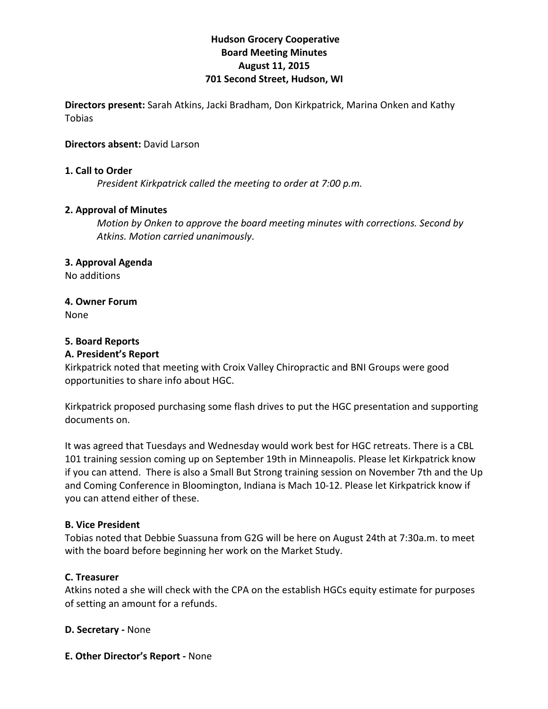# **Hudson Grocery Cooperative Board!Meeting!Minutes August!11,!2015 701 Second Street, Hudson, WI**

**Directors present:** Sarah Atkins, Jacki Bradham, Don Kirkpatrick, Marina Onken and Kathy Tobias

## **Directors absent: David Larson**

### **1. Call to Order**

*President Kirkpatrick called the meeting to order at 7:00 p.m.* 

### **2. Approval of Minutes**

*Motion by Onken to approve the board meeting minutes with corrections. Second by* Atkins. Motion carried unanimously.

### **3. Approval Agenda**

No!additions

### **4. Owner Forum**

None

## **5.!Board!Reports**

## **A. President's Report**

Kirkpatrick noted that meeting with Croix Valley Chiropractic and BNI Groups were good opportunities to share info about HGC.

Kirkpatrick proposed purchasing some flash drives to put the HGC presentation and supporting documents on.

It was agreed that Tuesdays and Wednesday would work best for HGC retreats. There is a CBL 101 training session coming up on September 19th in Minneapolis. Please let Kirkpatrick know if you can attend. There is also a Small But Strong training session on November 7th and the Up and Coming Conference in Bloomington, Indiana is Mach 10-12. Please let Kirkpatrick know if you can attend either of these.

#### **B. Vice President**

Tobias noted that Debbie Suassuna from G2G will be here on August 24th at 7:30a.m. to meet with the board before beginning her work on the Market Study.

#### **C.!Treasurer**

Atkins noted a she will check with the CPA on the establish HGCs equity estimate for purposes of setting an amount for a refunds.

#### **D. Secretary - None**

**E. Other Director's Report - None**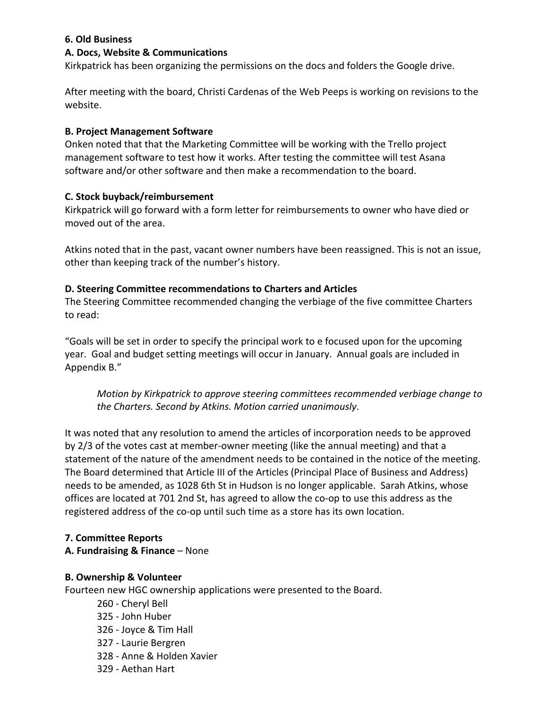## **6.!Old!Business**

### **A.!Docs,!Website!&!Communications**

Kirkpatrick has been organizing the permissions on the docs and folders the Google drive.

After meeting with the board, Christi Cardenas of the Web Peeps is working on revisions to the website.

### **B. Project Management Software**

Onken noted that that the Marketing Committee will be working with the Trello project management software to test how it works. After testing the committee will test Asana software and/or other software and then make a recommendation to the board.

### **C. Stock buyback/reimbursement**

Kirkpatrick will go forward with a form letter for reimbursements to owner who have died or moved out of the area.

Atkins noted that in the past, vacant owner numbers have been reassigned. This is not an issue, other than keeping track of the number's history.

### **D. Steering Committee recommendations to Charters and Articles**

The Steering Committee recommended changing the verbiage of the five committee Charters to read:

"Goals will be set in order to specify the principal work to e focused upon for the upcoming year. Goal and budget setting meetings will occur in January. Annual goals are included in Appendix B."

*Motion by Kirkpatrick to approve steering committees recommended verbiage change to the)Charters.)Second)by)Atkins.)Motion)carried)unanimously*.

It was noted that any resolution to amend the articles of incorporation needs to be approved by 2/3 of the votes cast at member-owner meeting (like the annual meeting) and that a statement of the nature of the amendment needs to be contained in the notice of the meeting. The Board determined that Article III of the Articles (Principal Place of Business and Address) needs to be amended, as 1028 6th St in Hudson is no longer applicable. Sarah Atkins, whose offices are located at 701 2nd St, has agreed to allow the co-op to use this address as the registered address of the co-op until such time as a store has its own location.

#### **7. Committee!Reports**

**A. Fundraising & Finance** – None

## **B.!Ownership &!Volunteer**

Fourteen new HGC ownership applications were presented to the Board.

260 - Cheryl Bell 325 - John Huber 326 - Joyce & Tim Hall 327 - Laurie Bergren 328 - Anne & Holden Xavier 329 - Aethan Hart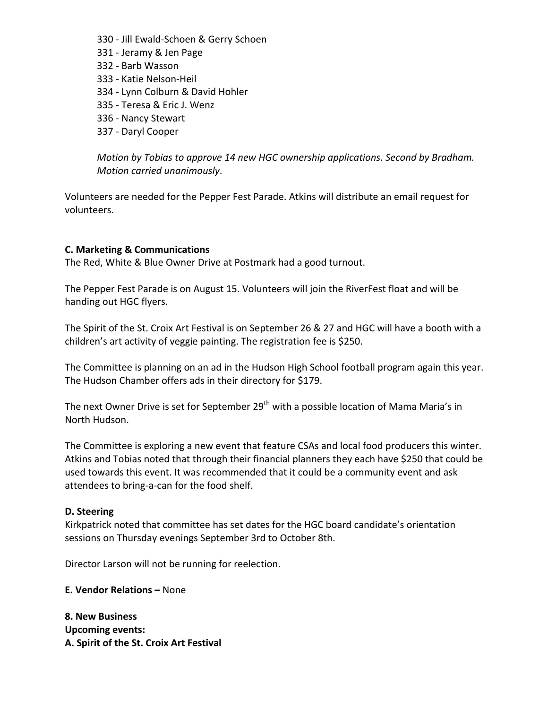- 330 Jill Ewald-Schoen & Gerry Schoen 331 - Jeramy & Jen Page 332 - Barb Wasson 333 - Katie Nelson-Heil 334 - Lynn Colburn & David Hohler 335 - Teresa & Eric J. Wenz
- 336 Nancy Stewart
- 337 Daryl Cooper

*Motion by Tobias to approve 14 new HGC ownership applications. Second by Bradham. Motion carried unanimously.* 

Volunteers are needed for the Pepper Fest Parade. Atkins will distribute an email request for volunteers.

#### **C. Marketing & Communications**

The Red, White & Blue Owner Drive at Postmark had a good turnout.

The Pepper Fest Parade is on August 15. Volunteers will join the RiverFest float and will be handing out HGC flyers.

The Spirit of the St. Croix Art Festival is on September 26 & 27 and HGC will have a booth with a children's art activity of veggie painting. The registration fee is \$250.

The Committee is planning on an ad in the Hudson High School football program again this year. The Hudson Chamber offers ads in their directory for \$179.

The next Owner Drive is set for September 29<sup>th</sup> with a possible location of Mama Maria's in North Hudson.

The Committee is exploring a new event that feature CSAs and local food producers this winter. Atkins and Tobias noted that through their financial planners they each have \$250 that could be used towards this event. It was recommended that it could be a community event and ask attendees to bring-a-can for the food shelf.

#### **D. Steering**

Kirkpatrick noted that committee has set dates for the HGC board candidate's orientation sessions on Thursday evenings September 3rd to October 8th.

Director Larson will not be running for reelection.

**E. Vendor Relations –** None

**8.!New!Business! Upcoming events:** A. Spirit of the St. Croix Art Festival